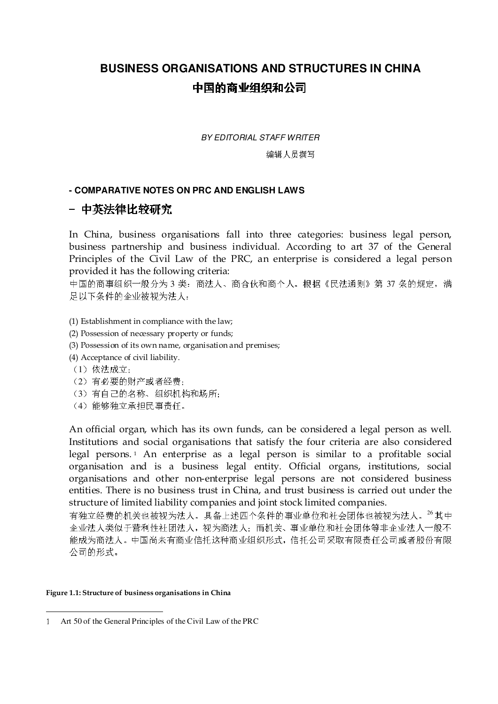# **BUSINESS ORGANISATIONS AND STRUCTURES IN CHINA**  中国的商业组织和公司

BY EDITORIAL STAFF WRITER

编辑人员撰写

## **- COMPARATIVE NOTES ON PRC AND ENGLISH LAWS**

# - 中英法律比较研究

In China, business organisations fall into three categories: business legal person, business partnership and business individual. According to art 37 of the General Principles of the Civil Law of the PRC, an enterprise is considered a legal person provided it has the following criteria:

中国的商事组织一般分为 3 类: 商法人、商合伙和商个人。根据《民法通则》第 37 条的规定, 满 足以下条件的企业被视为法人:

- (1) Establishment in compliance with the law;
- (2) Possession of necessary property or funds;
- (3) Possession of its own name, organisation and premises;
- (4) Acceptance of civil liability.
- (1)依法成立;
- (2)有必要的财产或者经费;
- (3)有自己的名称、组织机构和场所;
- (4)能够独立承担民事责任。

An official organ, which has its own funds, can be considered a legal person as well. Institutions and social organisations that satisfy the four criteria are also considered legal persons. <sup>1</sup> An enterprise as a legal person is similar to a profitable social organisation and is a business legal entity. Official organs, institutions, social organisations and other non-enterprise legal persons are not considered business entities. There is no business trust in China, and trust business is carried out under the structure of limited liability companies and joint stock limited companies.

有独立经费的机关也被视为法人。具备上述四个条件的事业单位和社会团体也被视为法人。<sup>26</sup>其中 企业法人类似于营利性社团法人,视为商法人;而机关、事业单位和社会团体等非企业法人一般不 能成为商法人。中国尚未有商业信托这种商业组织形式,信托公司采取有限责任公司或者股份有限 公司的形式。

#### Figure 1.1: Structure of business organisations in China

 $\overline{a}$ 

Art 50 of the General Principles of the Civil Law of the PRC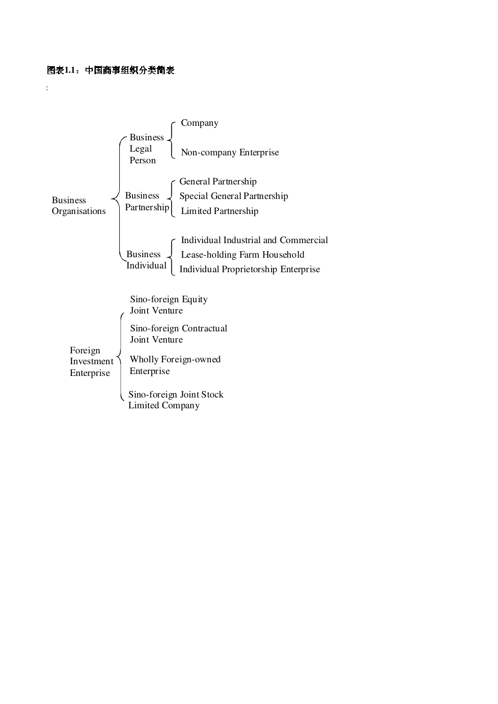:

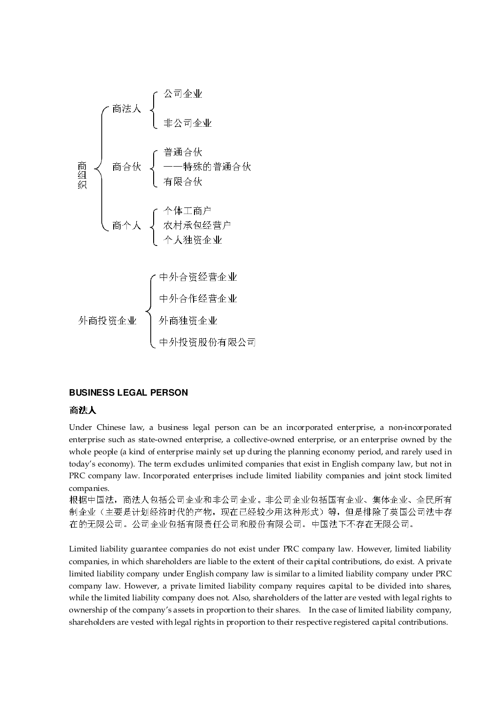

### **BUSINESS LEGAL PERSON**

### 商法人

Under Chinese law, a business legal person can be an incorporated enterprise, a non-incorporated enterprise such as state-owned enterprise, a collective-owned enterprise, or an enterprise owned by the whole people (a kind of enterprise mainly set up during the planning economy period, and rarely used in today's economy). The term excludes unlimited companies that exist in English company law, but not in PRC company law. Incorporated enterprises include limited liability companies and joint stock limited companies.

根据中国法,商法人包括公司企业和非公司企业。非公司企业包括国有企业、集体企业、全民所有 制企业(主要是计划经济时代的产物,现在已经较少用这种形式)等,但是排除了英国公司法中存 在的无限公司。公司企业包括有限责任公司和股份有限公司。中国法下不存在无限公司。

Limited liability guarantee companies do not exist under PRC company law. However, limited liability companies, in which shareholders are liable to the extent of their capital contributions, do exist. A private limited liability company under English company law is similar to a limited liability company under PRC company law. However, a private limited liability company requires capital to be divided into shares, while the limited liability company does not. Also, shareholders of the latter are vested with legal rights to ownership of the company's assets in proportion to their shares. In the case of limited liability company, shareholders are vested with legal rights in proportion to their respective registered capital contributions.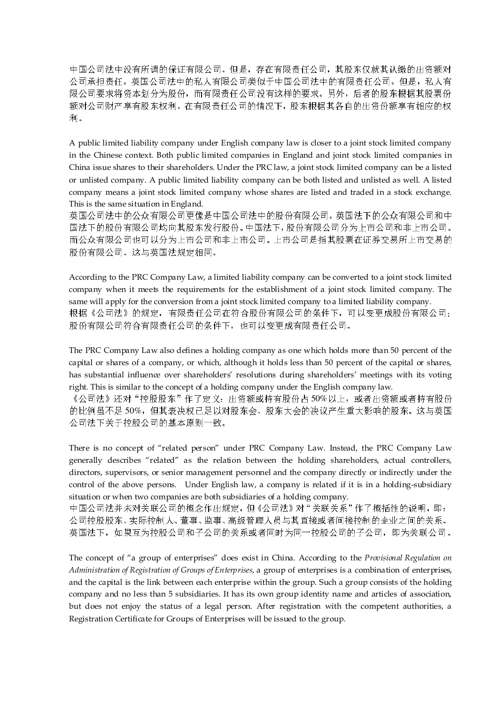中国公司法中没有所谓的保证有限公司。但是,存在有限责任公司,其股东仅就其认缴的出资额对 公司承担责任。英国公司法中的私人有限公司类似于中国公司法中的有限责任公司。但是,私人有 限公司要求将资本划分为股份,而有限责任公司没有这样的要求。另外,后者的股东根据其股票份 额对公司财产享有股东权利。在有限责任公司的情况下,股东根据其各自的出资份额享有相应的权 利。

A public limited liability company under English company law is closer to a joint stock limited company in the Chinese context. Both public limited companies in England and joint stock limited companies in China issue shares to their shareholders. Under the PRC law, a joint stock limited company can be a listed or unlisted company. A public limited liability company can be both listed and unlisted as well. A listed company means a joint stock limited company whose shares are listed and traded in a stock exchange. This is the same situation in England.

英国公司法中的公众有限公司更像是中国公司法中的股份有限公司。英国法下的公众有限公司和中 国法下的股份有限公司均向其股东发行股份。中国法下,股份有限公司分为上市公司和非上市公司。 而公众有限公司也可以分为上市公司和非上市公司。上市公司是指其股票在证券交易所上市交易的 股份有限公司。这与英国法规定相同。

According to the PRC Company Law, a limited liability company can be converted to a joint stock limited company when it meets the requirements for the establishment of a joint stock limited company. The same will apply for the conversion from a joint stock limited company to a limited liability company. 根据《公司法》的规定,有限责任公司在符合股份有限公司的条件下,可以变更成股份有限公司; 股份有限公司符合有限责任公司的条件下,也可以变更成有限责任公司。

The PRC Company Law also defines a holding company as one which holds more than 50 percent of the capital or shares of a company, or which, although it holds less than 50 percent of the capital or shares, has substantial influence over shareholders' resolutions during shareholders' meetings with its voting right. This is similar to the concept of a holding company under the English company law.

《公司法》还对"控股股东"作了定义:出资额或持有股份占 50%以上,或者出资额或者持有股份 的比例虽不足 50%,但其表决权已足以对股东会、股东大会的决议产生重大影响的股东。这与英国 公司法下关于控股公司的基本原则一致。

There is no concept of "related person" under PRC Company Law. Instead, the PRC Company Law generally describes "related" as the relation between the holding shareholders, actual controllers, directors, supervisors, or senior management personnel and the company directly or indirectly under the control of the above persons. Under English law, a company is related if it is in a holding-subsidiary situation or when two companies are both subsidiaries of a holding company.

中国公司法并未对关联公司的概念作出规定,但《公司法》对"关联关系"作了概括性的说明,即: 公司控股股东、实际控制人、董事、监事、高级管理人员与其直接或者间接控制的企业之间的关系。 英国法下,如果互为控股公司和子公司的关系或者同时为同一控股公司的子公司,即为关联公司。

The concept of "a group of enterprises" does exist in China. According to the Provisional Regulation on Administration of Registration of Groups of Enterprises, a group of enterprises is a combination of enterprises, and the capital is the link between each enterprise within the group. Such a group consists of the holding company and no less than 5 subsidiaries. It has its own group identity name and articles of association, but does not enjoy the status of a legal person. After registration with the competent authorities, a Registration Certificate for Groups of Enterprises will be issued to the group.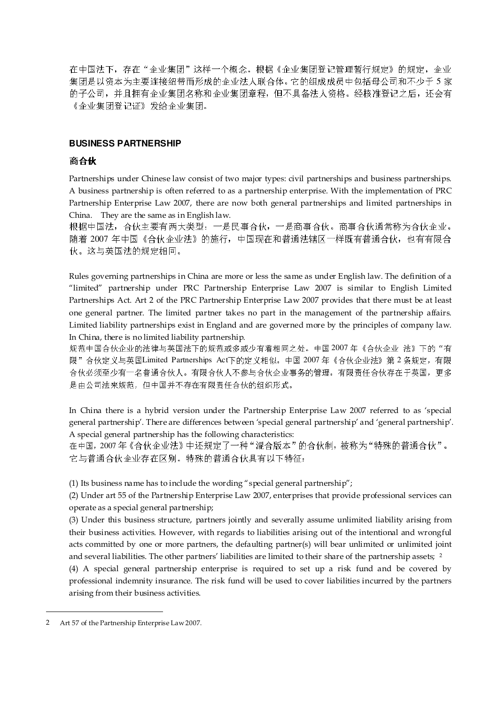在中国法下,存在"企业集团"这样一个概念。根据《企业集团登记管理暂行规定》的规定,企业 集团是以资本为主要连接纽带而形成的企业法人联合体。它的组成成员中包括母公司和不少于 5 家 的子公司,并且拥有企业集团名称和企业集团章程,但不具备法人资格。经核准登记之后,还会有 《企业集团登记证》发给企业集团。

## **BUSINESS PARTNERSHIP**

# 商合伙

Partnerships under Chinese law consist of two major types: civil partnerships and business partnerships. A business partnership is often referred to as a partnership enterprise. With the implementation of PRC Partnership Enterprise Law 2007, there are now both general partnerships and limited partnerships in China. They are the same as in English law.

根据中国法,合伙主要有两大类型:一是民事合伙,一是商事合伙。商事合伙通常称为合伙企业。 随着 2007 年中国《合伙企业法》的施行,中国现在和普通法辖区一样既有普通合伙,也有有限合 伙。这与英国法的规定相同。

Rules governing partnerships in China are more or less the same as under English law. The definition of a "limited" partnership under PRC Partnership Enterprise Law 2007 is similar to English Limited Partnerships Act. Art 2 of the PRC Partnership Enterprise Law 2007 provides that there must be at least one general partner. The limited partner takes no part in the management of the partnership affairs. Limited liability partnerships exist in England and are governed more by the principles of company law. In China, there is no limited liability partnership.

规范中国合伙企业的法律与英国法下的规范或多或少有着相同之处。中国 2007 年《合伙企业 法》下的"有 限"合伙定义与英国Limited Partnerships Act下的定义相似。中国 2007年《合伙企业法》第 2 条规定, 有限 合伙必须至少有一名普通合伙人。有限合伙人不参与合伙企业事务的管理。有限责任合伙存在于英国,更多 是由公司法来规范,但中国并不存在有限责任合伙的组织形式。

In China there is a hybrid version under the Partnership Enterprise Law 2007 referred to as 'special general partnership'. There are differences between 'special general partnership' and 'general partnership'. A special general partnership has the following characteristics:

在中国,2007 年《合伙企业法》中还规定了一种"混合版本"的合伙制,被称为"特殊的普通合伙"。 它与普通合伙企业存在区别。特殊的普通合伙具有以下特征:

(1) Its business name has to include the wording "special general partnership";

(2) Under art 55 of the Partnership Enterprise Law 2007, enterprises that provide professional services can operate as a special general partnership;

(3) Under this business structure, partners jointly and severally assume unlimited liability arising from their business activities. However, with regards to liabilities arising out of the intentional and wrongful acts committed by one or more partners, the defaulting partner(s) will bear unlimited or unlimited joint and several liabilities. The other partners' liabilities are limited to their share of the partnership assets;  $^2$ 

(4) A special general partnership enterprise is required to set up a risk fund and be covered by professional indemnity insurance. The risk fund will be used to cover liabilities incurred by the partners arising from their business activities.

 $\overline{a}$ 

<sup>2</sup> Art 57 of the Partnership Enterprise Law 2007.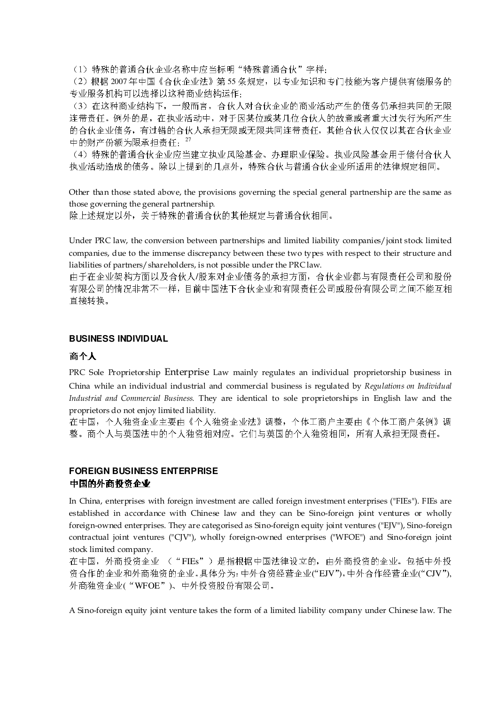(1)特殊的普通合伙企业名称中应当标明"特殊普通合伙"字样;

(2)根据 2007年中国《合伙企业法》第 55 条规定,以专业知识和专门技能为客户提供有偿服务的 专业服务机构可以选择以这种商业结构运作;

(3)在这种商业结构下,一般而言,合伙人对合伙企业的商业活动产生的债务仍承担共同的无限 连带责任。例外的是,在执业活动中,对于因某位或某几位合伙人的故意或者重大过失行为所产生 的合伙企业债务,有过错的合伙人承担无限或无限共同连带责任,其他合伙人仅仅以其在合伙企业 中的财产份额为限承担责任; 27

(4)特殊的普通合伙企业应当建立执业风险基金、办理职业保险。执业风险基金用于偿付合伙人 执业活动造成的债务。除以上提到的几点外,特殊合伙与普通合伙企业所适用的法律规定相同。

Other than those stated above, the provisions governing the special general partnership are the same as those governing the general partnership.

除上述规定以外,关于特殊的普通合伙的其他规定与普通合伙相同。

Under PRC law, the conversion between partnerships and limited liability companies/joint stock limited companies, due to the immense discrepancy between these two types with respect to their structure and liabilities of partners/shareholders, is not possible under the PRC law.

由于在企业架构方面以及合伙人/股东对企业债务的承担方面,合伙企业都与有限责任公司和股份 有限公司的情况非常不一样,目前中国法下合伙企业和有限责任公司或股份有限公司之间不能互相 直接转换。

### **BUSINESS INDIVIDUAL**

## 商个人

PRC Sole Proprietorship Enterprise Law mainly regulates an individual proprietorship business in China while an individual industrial and commercial business is regulated by Regulations on Individual Industrial and Commercial Business. They are identical to sole proprietorships in English law and the proprietors do not enjoy limited liability.

在中国,个人独资企业主要由《个人独资企业法》调整,个体工商户主要由《个体工商户条例》调 整。商个人与英国法中的个人独资相对应。它们与英国的个人独资相同,所有人承担无限责任。

# **FOREIGN BUSINESS ENTERPRISE**  中国的外商投资企业

In China, enterprises with foreign investment are called foreign investment enterprises ("FIEs"). FIEs are established in accordance with Chinese law and they can be Sino-foreign joint ventures or wholly foreign-owned enterprises. They are categorised as Sino-foreign equity joint ventures ("EJV"), Sino-foreign contractual joint ventures ("CJV"), wholly foreign-owned enterprises ("WFOE") and Sino-foreign joint stock limited company.

在中国,外商投资企业 ("FIEs")是指根据中国法律设立的,由外商投资的企业。包括中外投 资合作的企业和外商独资的企业。具体分为:中外合资经营企业("EJV"),中外合作经营企业("CJV"), 外商独资企业("WFOE")、中外投资股份有限公司。

A Sino-foreign equity joint venture takes the form of a limited liability company under Chinese law. The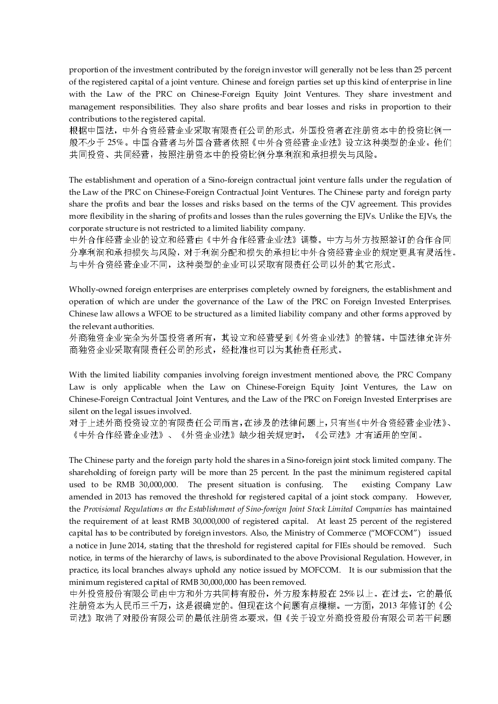proportion of the investment contributed by the foreign investor will generally not be less than 25 percent of the registered capital of a joint venture. Chinese and foreign parties set up this kind of enterprise in line with the Law of the PRC on Chinese-Foreign Equity Joint Ventures. They share investment and management responsibilities. They also share profits and bear losses and risks in proportion to their contributions to the registered capital.

根据中国法,中外合资经营企业采取有限责任公司的形式,外国投资者在注册资本中的投资比例一 般不少于 25%。中国合营者与外国合营者依照《中外合资经营企业法》设立这种类型的企业。他们 共同投资、共同经营,按照注册资本中的投资比例分享利润和承担损失与风险。

The establishment and operation of a Sino-foreign contractual joint venture falls under the regulation of the Law of the PRC on Chinese-Foreign Contractual Joint Ventures. The Chinese party and foreign party share the profits and bear the losses and risks based on the terms of the CJV agreement. This provides more flexibility in the sharing of profits and losses than the rules governing the EJVs. Unlike the EJVs, the corporate structure is not restricted to a limited liability company.

中外合作经营企业的设立和经营由《中外合作经营企业法》调整。中方与外方按照签订的合作合同 分享利润和承担损失与风险,对于利润分配和损失的承担比中外合资经营企业的规定更具有灵活性。 与中外合资经营企业不同,这种类型的企业可以采取有限责任公司以外的其它形式。

Wholly-owned foreign enterprises are enterprises completely owned by foreigners, the establishment and operation of which are under the governance of the Law of the PRC on Foreign Invested Enterprises. Chinese law allows a WFOE to be structured as a limited liability company and other forms approved by the relevant authorities.

外商独资企业完全为外国投资者所有,其设立和经营受到《外资企业法》的管辖。中国法律允许外 商独资企业采取有限责任公司的形式,经批准也可以为其他责任形式。

With the limited liability companies involving foreign investment mentioned above, the PRC Company Law is only applicable when the Law on Chinese-Foreign Equity Joint Ventures, the Law on Chinese-Foreign Contractual Joint Ventures, and the Law of the PRC on Foreign Invested Enterprises are silent on the legal issues involved.

对于上述外商投资设立的有限责任公司而言,在涉及的法律问题上,只有当《中外合资经营企业法》、 《中外合作经营企业法》、《外资企业法》缺少相关规定时,《公司法》才有适用的空间。

The Chinese party and the foreign party hold the shares in a Sino-foreign joint stock limited company. The shareholding of foreign party will be more than 25 percent. In the past the minimum registered capital used to be RMB 30,000,000. The present situation is confusing. The existing Company Law amended in 2013 has removed the threshold for registered capital of a joint stock company. However, the Provisional Regulations on the Establishment of Sino-foreign Joint Stock Limited Companies has maintained the requirement of at least RMB 30,000,000 of registered capital. At least 25 percent of the registered capital has to be contributed by foreign investors. Also, the Ministry of Commerce ("MOFCOM") issued a notice in June 2014, stating that the threshold for registered capital for FIEs should be removed. Such notice, in terms of the hierarchy of laws, is subordinated to the above Provisional Regulation. However, in practice, its local branches always uphold any notice issued by MOFCOM. It is our submission that the minimum registered capital of RMB 30,000,000 has been removed.

中外投资股份有限公司由中方和外方共同持有股份,外方股东持股在 25%以上。在过去,它的最低 注册资本为人民币三千万,这是很确定的。但现在这个问题有点模糊。一方面,2013 年修订的《公 司法》取消了对股份有限公司的最低注册资本要求,但《关于设立外商投资股份有限公司若干问题